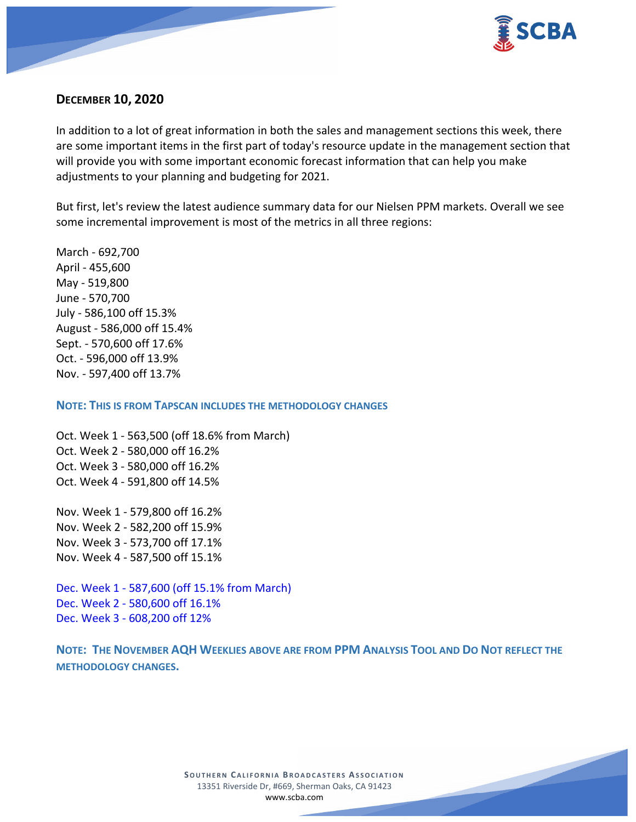

# **DECEMBER 10, 2020**

In addition to a lot of great information in both the sales and management sections this week, there are some important items in the first part of today's resource update in the management section that will provide you with some important economic forecast information that can help you make adjustments to your planning and budgeting for 2021.

But first, let's review the latest audience summary data for our Nielsen PPM markets. Overall we see some incremental improvement is most of the metrics in all three regions:

March - 692,700 April - 455,600 May - 519,800 June - 570,700 July - 586,100 off 15.3% August - 586,000 off 15.4% Sept. - 570,600 off 17.6% Oct. - 596,000 off 13.9% Nov. - 597,400 off 13.7%

**NOTE: THIS IS FROM TAPSCAN INCLUDES THE METHODOLOGY CHANGES** 

Oct. Week 1 - 563,500 (off 18.6% from March) Oct. Week 2 - 580,000 off 16.2% Oct. Week 3 - 580,000 off 16.2% Oct. Week 4 - 591,800 off 14.5%

Nov. Week 1 - 579,800 off 16.2% Nov. Week 2 - 582,200 off 15.9% Nov. Week 3 - 573,700 off 17.1% Nov. Week 4 - 587,500 off 15.1%

Dec. Week 1 - 587,600 (off 15.1% from March) Dec. Week 2 - 580,600 off 16.1% Dec. Week 3 - 608,200 off 12%

**NOTE: THE NOVEMBER AQH WEEKLIES ABOVE ARE FROM PPM ANALYSIS TOOL AND DO NOT REFLECT THE METHODOLOGY CHANGES.**

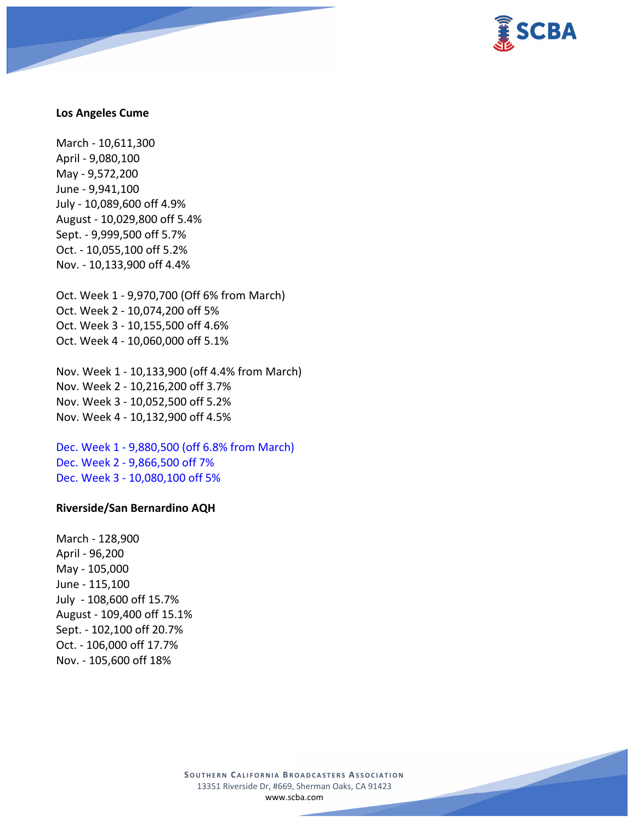

#### **Los Angeles Cume**

March - 10,611,300 April - 9,080,100 May - 9,572,200 June - 9,941,100 July - 10,089,600 off 4.9% August - 10,029,800 off 5.4% Sept. - 9,999,500 off 5.7% Oct. - 10,055,100 off 5.2% Nov. - 10,133,900 off 4.4%

Oct. Week 1 - 9,970,700 (Off 6% from March) Oct. Week 2 - 10,074,200 off 5% Oct. Week 3 - 10,155,500 off 4.6% Oct. Week 4 - 10,060,000 off 5.1%

Nov. Week 1 - 10,133,900 (off 4.4% from March) Nov. Week 2 - 10,216,200 off 3.7% Nov. Week 3 - 10,052,500 off 5.2% Nov. Week 4 - 10,132,900 off 4.5%

Dec. Week 1 - 9,880,500 (off 6.8% from March) Dec. Week 2 - 9,866,500 off 7% Dec. Week 3 - 10,080,100 off 5%

#### **Riverside/San Bernardino AQH**

March - 128,900 April - 96,200 May - 105,000 June - 115,100 July - 108,600 off 15.7% August - 109,400 off 15.1% Sept. - 102,100 off 20.7% Oct. - 106,000 off 17.7% Nov. - 105,600 off 18%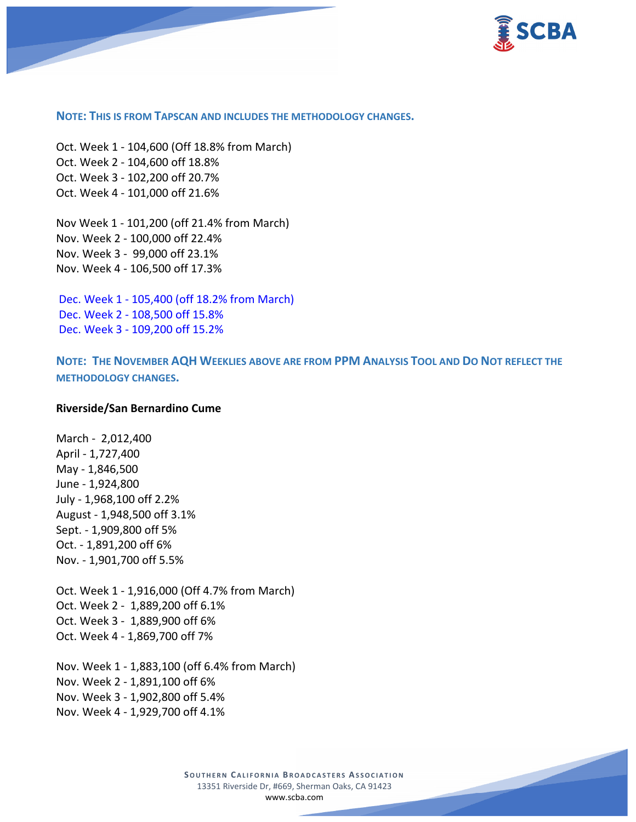

#### **NOTE: THIS IS FROM TAPSCAN AND INCLUDES THE METHODOLOGY CHANGES.**

Oct. Week 1 - 104,600 (Off 18.8% from March) Oct. Week 2 - 104,600 off 18.8% Oct. Week 3 - 102,200 off 20.7% Oct. Week 4 - 101,000 off 21.6%

Nov Week 1 - 101,200 (off 21.4% from March) Nov. Week 2 - 100,000 off 22.4% Nov. Week 3 - 99,000 off 23.1% Nov. Week 4 - 106,500 off 17.3%

Dec. Week 1 - 105,400 (off 18.2% from March) Dec. Week 2 - 108,500 off 15.8% Dec. Week 3 - 109,200 off 15.2%

**NOTE: THE NOVEMBER AQH WEEKLIES ABOVE ARE FROM PPM ANALYSIS TOOL AND DO NOT REFLECT THE METHODOLOGY CHANGES.**

#### **Riverside/San Bernardino Cume**

March - 2,012,400 April - 1,727,400 May - 1,846,500 June - 1,924,800 July - 1,968,100 off 2.2% August - 1,948,500 off 3.1% Sept. - 1,909,800 off 5% Oct. - 1,891,200 off 6% Nov. - 1,901,700 off 5.5%

Oct. Week 1 - 1,916,000 (Off 4.7% from March) Oct. Week 2 - 1,889,200 off 6.1% Oct. Week 3 - 1,889,900 off 6% Oct. Week 4 - 1,869,700 off 7%

Nov. Week 1 - 1,883,100 (off 6.4% from March) Nov. Week 2 - 1,891,100 off 6% Nov. Week 3 - 1,902,800 off 5.4% Nov. Week 4 - 1,929,700 off 4.1%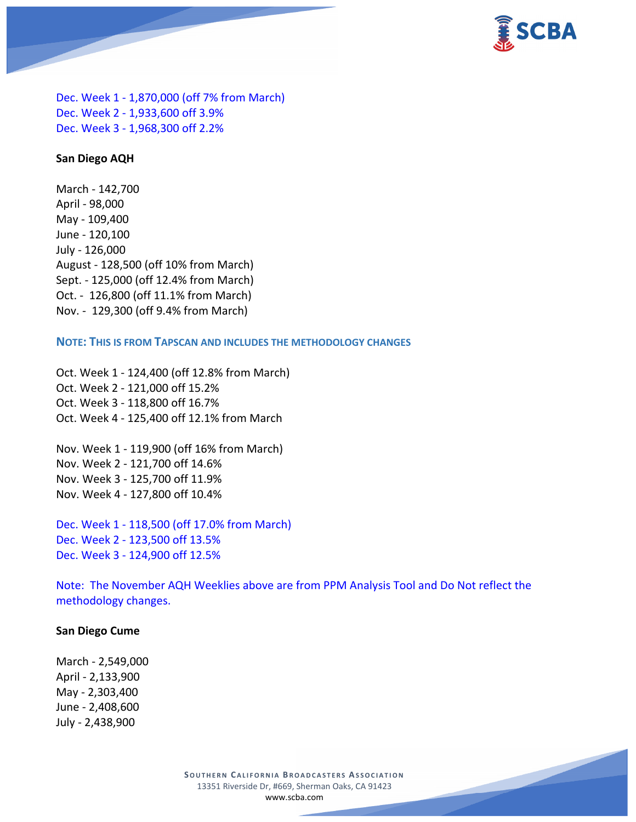

Dec. Week 1 - 1,870,000 (off 7% from March) Dec. Week 2 - 1,933,600 off 3.9% Dec. Week 3 - 1,968,300 off 2.2%

#### **San Diego AQH**

March - 142,700 April - 98,000 May - 109,400 June - 120,100 July - 126,000 August - 128,500 (off 10% from March) Sept. - 125,000 (off 12.4% from March) Oct. - 126,800 (off 11.1% from March) Nov. - 129,300 (off 9.4% from March)

**NOTE: THIS IS FROM TAPSCAN AND INCLUDES THE METHODOLOGY CHANGES** 

Oct. Week 1 - 124,400 (off 12.8% from March) Oct. Week 2 - 121,000 off 15.2% Oct. Week 3 - 118,800 off 16.7% Oct. Week 4 - 125,400 off 12.1% from March

Nov. Week 1 - 119,900 (off 16% from March) Nov. Week 2 - 121,700 off 14.6% Nov. Week 3 - 125,700 off 11.9% Nov. Week 4 - 127,800 off 10.4%

Dec. Week 1 - 118,500 (off 17.0% from March) Dec. Week 2 - 123,500 off 13.5% Dec. Week 3 - 124,900 off 12.5%

Note: The November AQH Weeklies above are from PPM Analysis Tool and Do Not reflect the methodology changes.

#### **San Diego Cume**

March - 2,549,000 April - 2,133,900 May - 2,303,400 June - 2,408,600 July - 2,438,900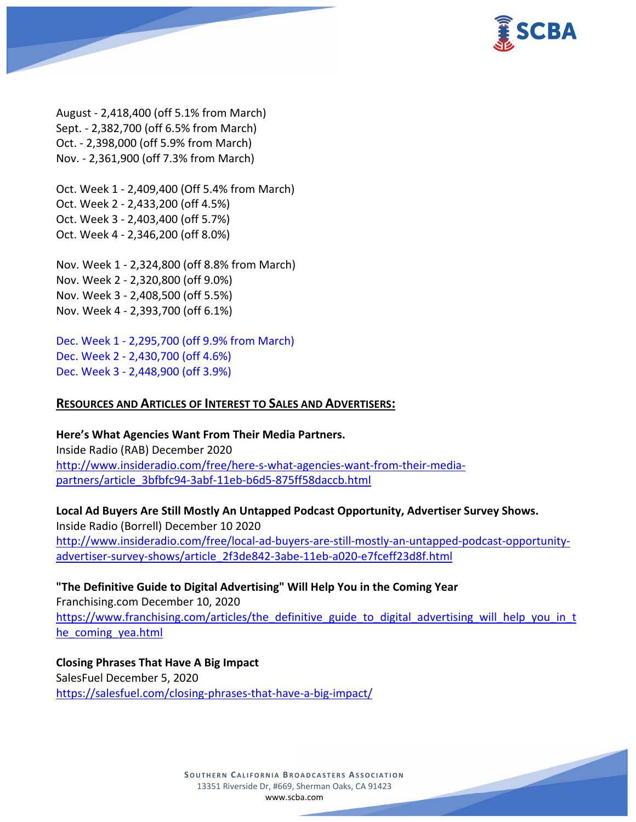

August - 2,418,400 (off 5.1% from March) Sept. - 2,382,700 (off 6.5% from March) Oct. - 2,398,000 (off 5.9% from March) Nov. - 2,361,900 (off 7.3% from March)

Oct. Week 1 - 2,409,400 (Off 5.4% from March) Oct. Week 2 - 2,433,200 (off 4.5%) Oct. Week 3 - 2,403,400 (off 5.7%) Oct. Week 4 - 2,346,200 (off 8.0%)

Nov. Week 1 - 2,324,800 (off 8.8% from March) Nov. Week 2 - 2,320,800 (off 9.0%) Nov. Week 3 - 2,408,500 (off 5.5%) Nov. Week 4 - 2,393,700 (off 6.1%)

Dec. Week 1 - 2,295,700 (off 9.9% from March) Dec. Week 2 - 2,430,700 (off 4.6%) Dec. Week 3 - 2,448,900 (off 3.9%)

#### **RESOURCES AND ARTICLES OF INTEREST TO SALES AND ADVERTISERS:**

**Here's What Agencies Want From Their Media Partners.** Inside Radio (RAB) December 2020 [http://www.insideradio.com/free/here-s-what-agencies-want-from-their-media](http://www.insideradio.com/free/here-s-what-agencies-want-from-their-media-partners/article_3bfbfc94-3abf-11eb-b6d5-875ff58daccb.html)[partners/article\\_3bfbfc94-3abf-11eb-b6d5-875ff58daccb.html](http://www.insideradio.com/free/here-s-what-agencies-want-from-their-media-partners/article_3bfbfc94-3abf-11eb-b6d5-875ff58daccb.html)

**Local Ad Buyers Are Still Mostly An Untapped Podcast Opportunity, Advertiser Survey Shows.** Inside Radio (Borrell) December 10 2020 [http://www.insideradio.com/free/local-ad-buyers-are-still-mostly-an-untapped-podcast-opportunity](http://www.insideradio.com/free/local-ad-buyers-are-still-mostly-an-untapped-podcast-opportunity-advertiser-survey-shows/article_2f3de842-3abe-11eb-a020-e7fceff23d8f.html)[advertiser-survey-shows/article\\_2f3de842-3abe-11eb-a020-e7fceff23d8f.html](http://www.insideradio.com/free/local-ad-buyers-are-still-mostly-an-untapped-podcast-opportunity-advertiser-survey-shows/article_2f3de842-3abe-11eb-a020-e7fceff23d8f.html)

**"The Definitive Guide to Digital Advertising" Will Help You in the Coming Year**

Franchising.com December 10, 2020 [https://www.franchising.com/articles/the\\_definitive\\_guide\\_to\\_digital\\_advertising\\_will\\_help\\_you\\_in\\_t](https://www.franchising.com/articles/the_definitive_guide_to_digital_advertising_will_help_you_in_the_coming_yea.html) [he\\_coming\\_yea.html](https://www.franchising.com/articles/the_definitive_guide_to_digital_advertising_will_help_you_in_the_coming_yea.html)

**Closing Phrases That Have A Big Impact** SalesFuel December 5, 2020 <https://salesfuel.com/closing-phrases-that-have-a-big-impact/>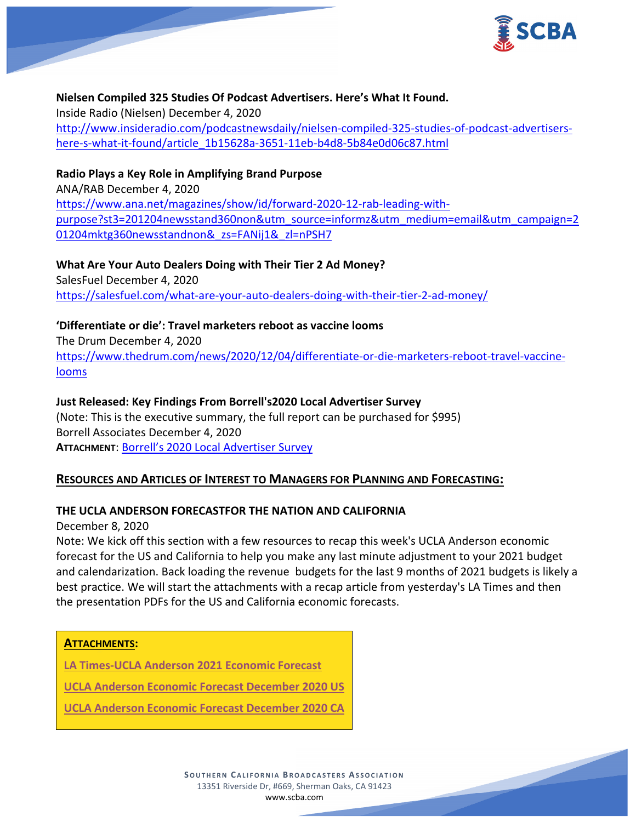

## **Nielsen Compiled 325 Studies Of Podcast Advertisers. Here's What It Found.**

Inside Radio (Nielsen) December 4, 2020 [http://www.insideradio.com/podcastnewsdaily/nielsen-compiled-325-studies-of-podcast-advertisers](http://www.insideradio.com/podcastnewsdaily/nielsen-compiled-325-studies-of-podcast-advertisers-here-s-what-it-found/article_1b15628a-3651-11eb-b4d8-5b84e0d06c87.html)[here-s-what-it-found/article\\_1b15628a-3651-11eb-b4d8-5b84e0d06c87.html](http://www.insideradio.com/podcastnewsdaily/nielsen-compiled-325-studies-of-podcast-advertisers-here-s-what-it-found/article_1b15628a-3651-11eb-b4d8-5b84e0d06c87.html)

## **Radio Plays a Key Role in Amplifying Brand Purpose**

ANA/RAB December 4, 2020 [https://www.ana.net/magazines/show/id/forward-2020-12-rab-leading-with](https://www.ana.net/magazines/show/id/forward-2020-12-rab-leading-with-purpose?st3=201204newsstand360non&utm_source=informz&utm_medium=email&utm_campaign=201204mktg360newsstandnon&_zs=FANij1&_zl=nPSH7)[purpose?st3=201204newsstand360non&utm\\_source=informz&utm\\_medium=email&utm\\_campaign=2](https://www.ana.net/magazines/show/id/forward-2020-12-rab-leading-with-purpose?st3=201204newsstand360non&utm_source=informz&utm_medium=email&utm_campaign=201204mktg360newsstandnon&_zs=FANij1&_zl=nPSH7) [01204mktg360newsstandnon&\\_zs=FANij1&\\_zl=nPSH7](https://www.ana.net/magazines/show/id/forward-2020-12-rab-leading-with-purpose?st3=201204newsstand360non&utm_source=informz&utm_medium=email&utm_campaign=201204mktg360newsstandnon&_zs=FANij1&_zl=nPSH7)

**What Are Your Auto Dealers Doing with Their Tier 2 Ad Money?** SalesFuel December 4, 2020 <https://salesfuel.com/what-are-your-auto-dealers-doing-with-their-tier-2-ad-money/>

## **'Differentiate or die': Travel marketers reboot as vaccine looms**

The Drum December 4, 2020 [https://www.thedrum.com/news/2020/12/04/differentiate-or-die-marketers-reboot-travel-vaccine](https://www.thedrum.com/news/2020/12/04/differentiate-or-die-marketers-reboot-travel-vaccine-looms)[looms](https://www.thedrum.com/news/2020/12/04/differentiate-or-die-marketers-reboot-travel-vaccine-looms)

## **Just Released: Key Findings From Borrell's2020 Local Advertiser Survey**

(Note: This is the executive summary, the full report can be purchased for \$995) Borrell Associates December 4, 2020 **ATTACHMENT**: [Borrell's 2020 Local Advertiser Survey](https://scba.com/borrells-2020-local-advertiser-survey/)

## **RESOURCES AND ARTICLES OF INTEREST TO MANAGERS FOR PLANNING AND FORECASTING:**

## **THE UCLA ANDERSON FORECASTFOR THE NATION AND CALIFORNIA**

December 8, 2020

Note: We kick off this section with a few resources to recap this week's UCLA Anderson economic forecast for the US and California to help you make any last minute adjustment to your 2021 budget and calendarization. Back loading the revenue budgets for the last 9 months of 2021 budgets is likely a best practice. We will start the attachments with a recap article from yesterday's LA Times and then the presentation PDFs for the US and California economic forecasts.

## **ATTACHMENTS:**

**[LA Times-UCLA Anderson 2021 Economic Forecast](https://scba.com/la-times-ucla-anderson-2021-econ-forecast-12-9-20/)**

**[UCLA Anderson Economic Forecast December 2020 US](https://scba.com/ucla-anderson-econ-forecast-dec2020_us/)**

**[UCLA Anderson Economic Forecast December 2020 CA](https://scba.com/ucla-anderson-econ-forecast-dec2020_ca/)**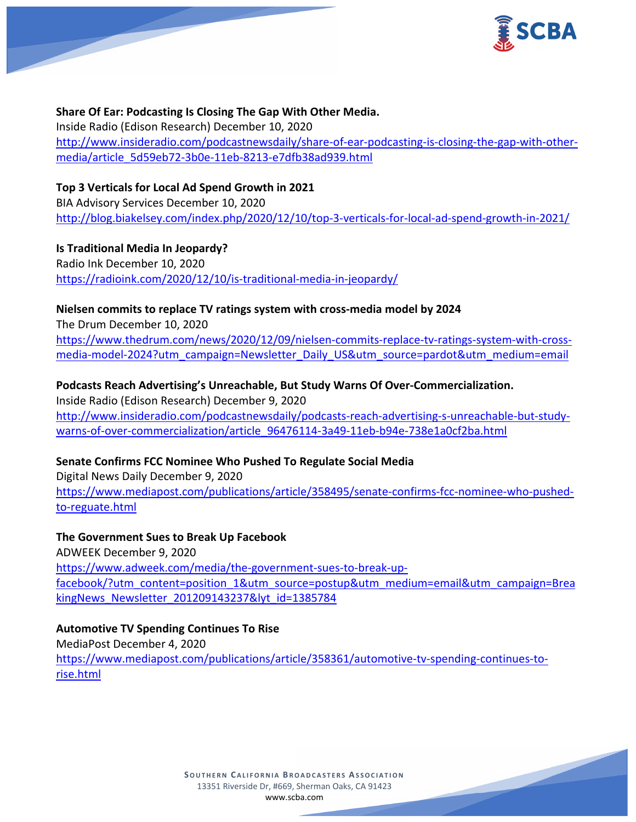

**Share Of Ear: Podcasting Is Closing The Gap With Other Media.** Inside Radio (Edison Research) December 10, 2020 [http://www.insideradio.com/podcastnewsdaily/share-of-ear-podcasting-is-closing-the-gap-with-other](http://www.insideradio.com/podcastnewsdaily/share-of-ear-podcasting-is-closing-the-gap-with-other-media/article_5d59eb72-3b0e-11eb-8213-e7dfb38ad939.html)[media/article\\_5d59eb72-3b0e-11eb-8213-e7dfb38ad939.html](http://www.insideradio.com/podcastnewsdaily/share-of-ear-podcasting-is-closing-the-gap-with-other-media/article_5d59eb72-3b0e-11eb-8213-e7dfb38ad939.html)

**Top 3 Verticals for Local Ad Spend Growth in 2021**

BIA Advisory Services December 10, 2020 <http://blog.biakelsey.com/index.php/2020/12/10/top-3-verticals-for-local-ad-spend-growth-in-2021/>

**Is Traditional Media In Jeopardy?** Radio Ink December 10, 2020 <https://radioink.com/2020/12/10/is-traditional-media-in-jeopardy/>

**Nielsen commits to replace TV ratings system with cross-media model by 2024**

The Drum December 10, 2020 [https://www.thedrum.com/news/2020/12/09/nielsen-commits-replace-tv-ratings-system-with-cross](https://www.thedrum.com/news/2020/12/09/nielsen-commits-replace-tv-ratings-system-with-cross-media-model-2024?utm_campaign=Newsletter_Daily_US&utm_source=pardot&utm_medium=email)[media-model-2024?utm\\_campaign=Newsletter\\_Daily\\_US&utm\\_source=pardot&utm\\_medium=email](https://www.thedrum.com/news/2020/12/09/nielsen-commits-replace-tv-ratings-system-with-cross-media-model-2024?utm_campaign=Newsletter_Daily_US&utm_source=pardot&utm_medium=email)

**Podcasts Reach Advertising's Unreachable, But Study Warns Of Over-Commercialization.** Inside Radio (Edison Research) December 9, 2020 [http://www.insideradio.com/podcastnewsdaily/podcasts-reach-advertising-s-unreachable-but-study](http://www.insideradio.com/podcastnewsdaily/podcasts-reach-advertising-s-unreachable-but-study-warns-of-over-commercialization/article_96476114-3a49-11eb-b94e-738e1a0cf2ba.html)[warns-of-over-commercialization/article\\_96476114-3a49-11eb-b94e-738e1a0cf2ba.html](http://www.insideradio.com/podcastnewsdaily/podcasts-reach-advertising-s-unreachable-but-study-warns-of-over-commercialization/article_96476114-3a49-11eb-b94e-738e1a0cf2ba.html)

### **Senate Confirms FCC Nominee Who Pushed To Regulate Social Media**

Digital News Daily December 9, 2020 [https://www.mediapost.com/publications/article/358495/senate-confirms-fcc-nominee-who-pushed](https://www.mediapost.com/publications/article/358495/senate-confirms-fcc-nominee-who-pushed-to-reguate.html)[to-reguate.html](https://www.mediapost.com/publications/article/358495/senate-confirms-fcc-nominee-who-pushed-to-reguate.html)

### **The Government Sues to Break Up Facebook**

ADWEEK December 9, 2020 [https://www.adweek.com/media/the-government-sues-to-break-up](https://www.adweek.com/media/the-government-sues-to-break-up-facebook/?utm_content=position_1&utm_source=postup&utm_medium=email&utm_campaign=BreakingNews_Newsletter_201209143237&lyt_id=1385784)[facebook/?utm\\_content=position\\_1&utm\\_source=postup&utm\\_medium=email&utm\\_campaign=Brea](https://www.adweek.com/media/the-government-sues-to-break-up-facebook/?utm_content=position_1&utm_source=postup&utm_medium=email&utm_campaign=BreakingNews_Newsletter_201209143237&lyt_id=1385784) [kingNews\\_Newsletter\\_201209143237&lyt\\_id=1385784](https://www.adweek.com/media/the-government-sues-to-break-up-facebook/?utm_content=position_1&utm_source=postup&utm_medium=email&utm_campaign=BreakingNews_Newsletter_201209143237&lyt_id=1385784)

**Automotive TV Spending Continues To Rise**

MediaPost December 4, 2020 [https://www.mediapost.com/publications/article/358361/automotive-tv-spending-continues-to](https://www.mediapost.com/publications/article/358361/automotive-tv-spending-continues-to-rise.html)[rise.html](https://www.mediapost.com/publications/article/358361/automotive-tv-spending-continues-to-rise.html)